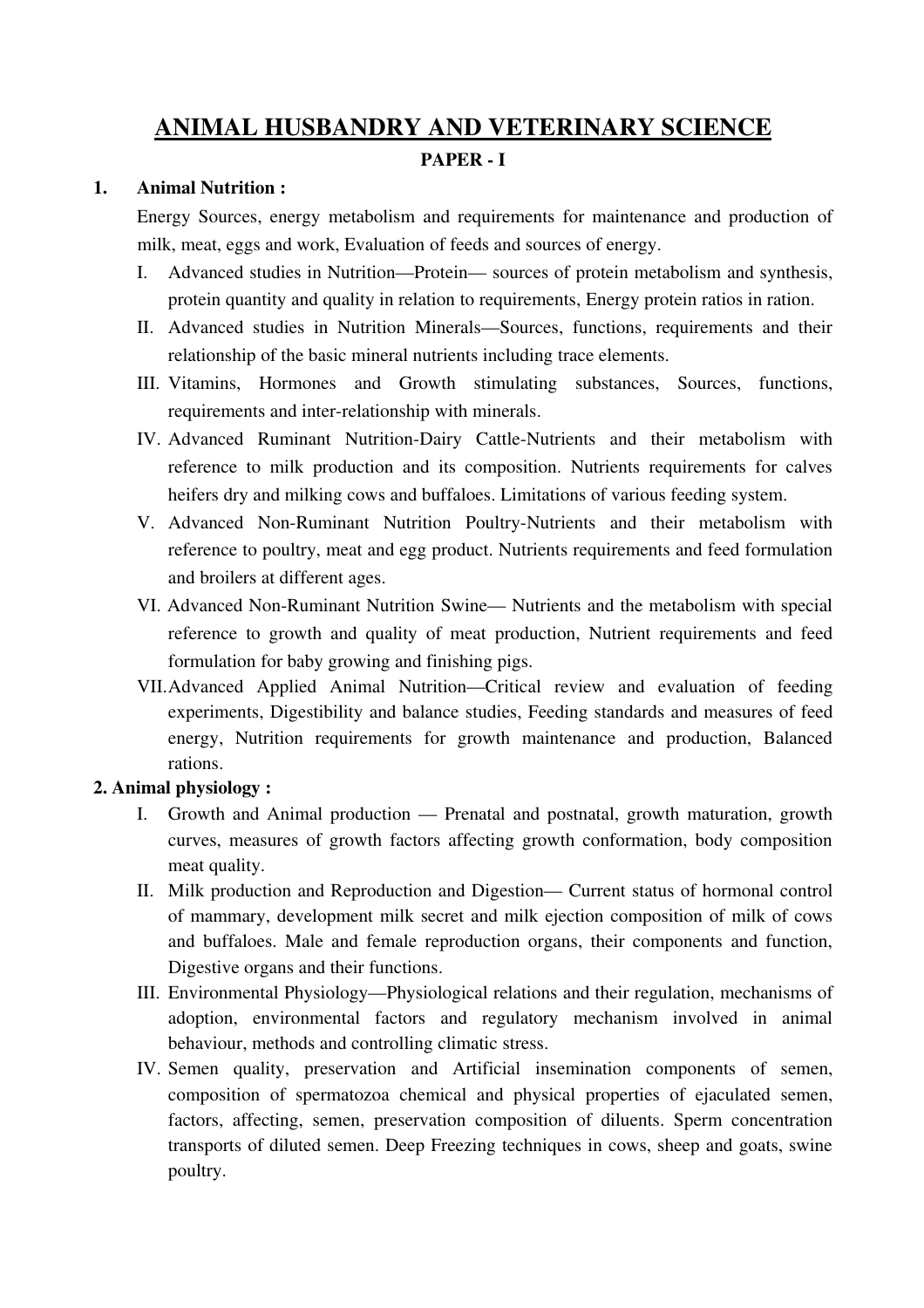# ANIMAL HUSBANDRY AND VETERINARY SCIENCE

#### PAPER - I

#### 1. Animal Nutrition :

Energy Sources, energy metabolism and requirements for maintenance and production of milk, meat, eggs and work, Evaluation of feeds and sources of energy.

- I. Advanced studies in Nutrition—Protein— sources of protein metabolism and synthesis, protein quantity and quality in relation to requirements, Energy protein ratios in ration.
- II. Advanced studies in Nutrition Minerals—Sources, functions, requirements and their relationship of the basic mineral nutrients including trace elements.
- III. Vitamins, Hormones and Growth stimulating substances, Sources, functions, requirements and inter-relationship with minerals.
- IV. Advanced Ruminant Nutrition-Dairy Cattle-Nutrients and their metabolism with reference to milk production and its composition. Nutrients requirements for calves heifers dry and milking cows and buffaloes. Limitations of various feeding system.
- V. Advanced Non-Ruminant Nutrition Poultry-Nutrients and their metabolism with reference to poultry, meat and egg product. Nutrients requirements and feed formulation and broilers at different ages.
- VI. Advanced Non-Ruminant Nutrition Swine— Nutrients and the metabolism with special reference to growth and quality of meat production, Nutrient requirements and feed formulation for baby growing and finishing pigs.
- VII.Advanced Applied Animal Nutrition—Critical review and evaluation of feeding experiments, Digestibility and balance studies, Feeding standards and measures of feed energy, Nutrition requirements for growth maintenance and production, Balanced rations.

## 2. Animal physiology :

- I. Growth and Animal production Prenatal and postnatal, growth maturation, growth curves, measures of growth factors affecting growth conformation, body composition meat quality.
- II. Milk production and Reproduction and Digestion— Current status of hormonal control of mammary, development milk secret and milk ejection composition of milk of cows and buffaloes. Male and female reproduction organs, their components and function, Digestive organs and their functions.
- III. Environmental Physiology—Physiological relations and their regulation, mechanisms of adoption, environmental factors and regulatory mechanism involved in animal behaviour, methods and controlling climatic stress.
- IV. Semen quality, preservation and Artificial insemination components of semen, composition of spermatozoa chemical and physical properties of ejaculated semen, factors, affecting, semen, preservation composition of diluents. Sperm concentration transports of diluted semen. Deep Freezing techniques in cows, sheep and goats, swine poultry.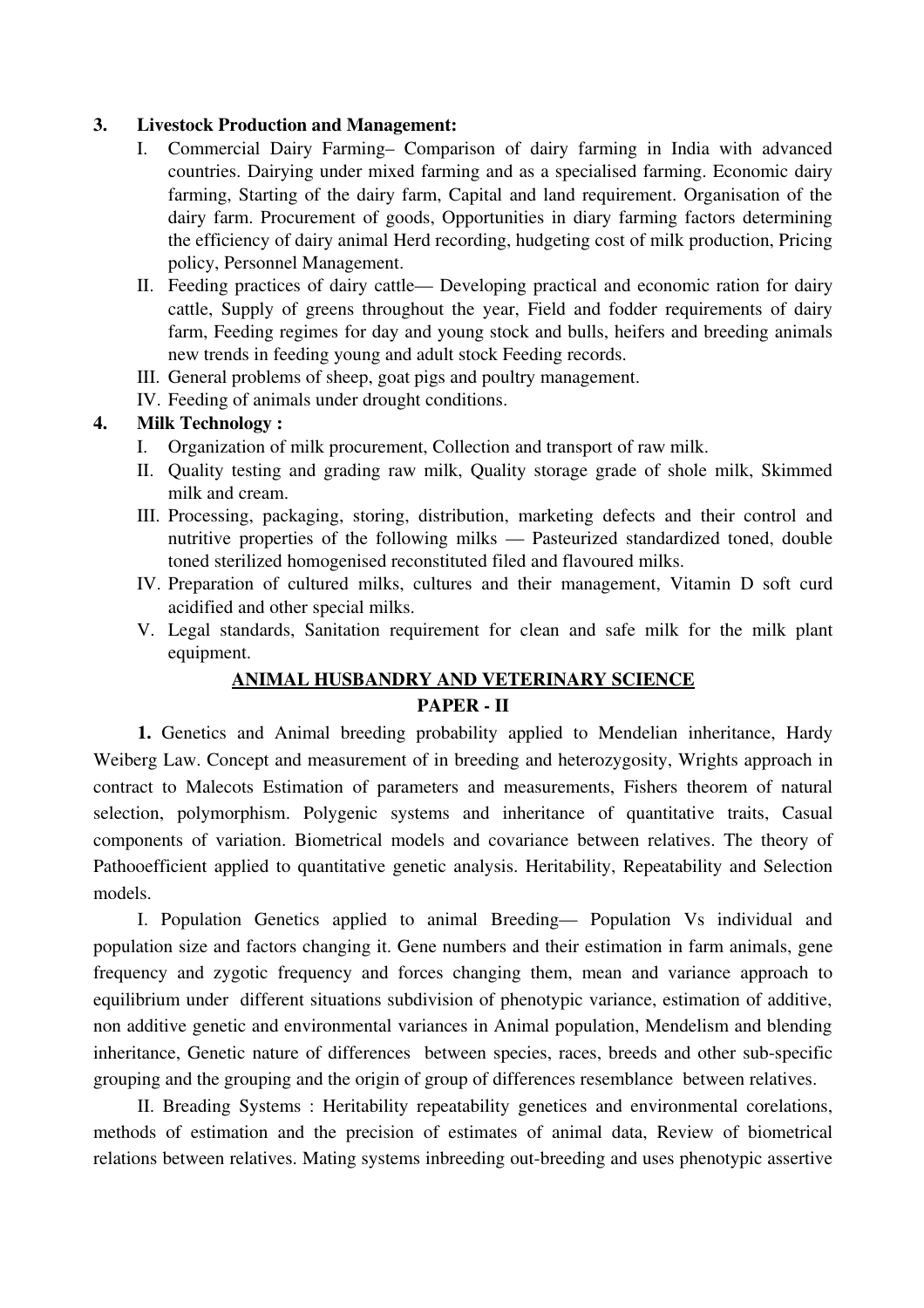### 3. Livestock Production and Management:

- I. Commercial Dairy Farming– Comparison of dairy farming in India with advanced countries. Dairying under mixed farming and as a specialised farming. Economic dairy farming, Starting of the dairy farm, Capital and land requirement. Organisation of the dairy farm. Procurement of goods, Opportunities in diary farming factors determining the efficiency of dairy animal Herd recording, hudgeting cost of milk production, Pricing policy, Personnel Management.
- II. Feeding practices of dairy cattle— Developing practical and economic ration for dairy cattle, Supply of greens throughout the year, Field and fodder requirements of dairy farm, Feeding regimes for day and young stock and bulls, heifers and breeding animals new trends in feeding young and adult stock Feeding records.
- III. General problems of sheep, goat pigs and poultry management.
- IV. Feeding of animals under drought conditions.

#### 4. Milk Technology :

- I. Organization of milk procurement, Collection and transport of raw milk.
- II. Quality testing and grading raw milk, Quality storage grade of shole milk, Skimmed milk and cream.
- III. Processing, packaging, storing, distribution, marketing defects and their control and nutritive properties of the following milks — Pasteurized standardized toned, double toned sterilized homogenised reconstituted filed and flavoured milks.
- IV. Preparation of cultured milks, cultures and their management, Vitamin D soft curd acidified and other special milks.
- V. Legal standards, Sanitation requirement for clean and safe milk for the milk plant equipment.

# ANIMAL HUSBANDRY AND VETERINARY SCIENCE

### PAPER - II

1. Genetics and Animal breeding probability applied to Mendelian inheritance, Hardy Weiberg Law. Concept and measurement of in breeding and heterozygosity, Wrights approach in contract to Malecots Estimation of parameters and measurements, Fishers theorem of natural selection, polymorphism. Polygenic systems and inheritance of quantitative traits, Casual components of variation. Biometrical models and covariance between relatives. The theory of Pathooefficient applied to quantitative genetic analysis. Heritability, Repeatability and Selection models.

I. Population Genetics applied to animal Breeding— Population Vs individual and population size and factors changing it. Gene numbers and their estimation in farm animals, gene frequency and zygotic frequency and forces changing them, mean and variance approach to equilibrium under different situations subdivision of phenotypic variance, estimation of additive, non additive genetic and environmental variances in Animal population, Mendelism and blending inheritance, Genetic nature of differences between species, races, breeds and other sub-specific grouping and the grouping and the origin of group of differences resemblance between relatives.

II. Breading Systems : Heritability repeatability genetices and environmental corelations, methods of estimation and the precision of estimates of animal data, Review of biometrical relations between relatives. Mating systems inbreeding out-breeding and uses phenotypic assertive